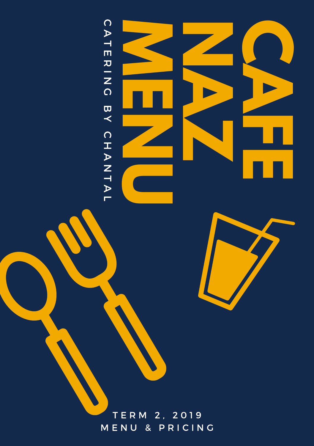



T E R M 2 , 2 0 1 9 **MENU & PRICING**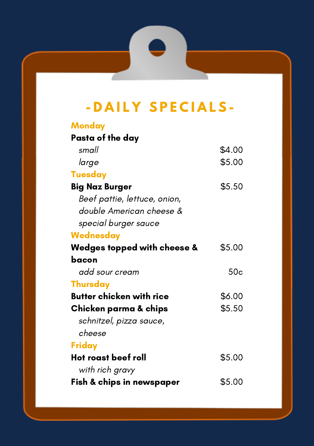# **- D A I L Y S P E C I A L S -**

- 5

70

| <b>Monday</b>                   |        |
|---------------------------------|--------|
| Pasta of the day                |        |
| small                           | \$4.00 |
| large                           | \$5.00 |
| <b>Tuesday</b>                  |        |
| Big Naz Burger                  | \$5.50 |
| Beef pattie, lettuce, onion,    |        |
| double American cheese &        |        |
| special burger sauce            |        |
| Wednesday                       |        |
| Wedges topped with cheese &     | \$5.00 |
| bacon                           |        |
| add sour cream                  | 50c    |
| <b>Thursday</b>                 |        |
| <b>Butter chicken with rice</b> | \$6.00 |
| Chicken parma & chips           | \$5.50 |
| schnitzel, pizza sauce,         |        |
| cheese                          |        |
| Friday                          |        |
| Hot roast beef roll             | \$5.00 |
| with rich gravy                 |        |
| Fish & chips in newspaper       | \$5.00 |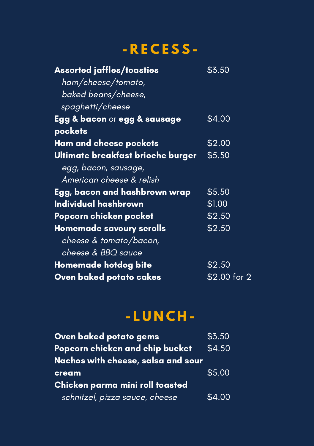### **- R E C E S S -**

| <b>Assorted jaffles/toasties</b>  | \$3.50        |
|-----------------------------------|---------------|
| ham/cheese/tomato,                |               |
| baked beans/cheese,               |               |
| spaghetti/cheese                  |               |
| Egg & bacon or egg & sausage      | \$4.00        |
| pockets                           |               |
| Ham and cheese pockets            | \$2.00        |
| Ultimate breakfast brioche burger | \$5.50        |
| egg, bacon, sausage,              |               |
| American cheese & relish          |               |
| Egg, bacon and hashbrown wrap     | \$5.50        |
| Individual hashbrown              | \$1.00        |
| Popcorn chicken pocket            | \$2.50        |
| <b>Homemade savoury scrolls</b>   | \$2.50        |
| cheese & tomato/bacon,            |               |
| cheese & BBQ sauce                |               |
| Homemade hotdog bite              | \$2.50        |
| Oven baked potato cakes           | $$2.00$ for 2 |

# **- L U N C H -**

| Oven baked potato gems             | \$3.50 |
|------------------------------------|--------|
| Popcorn chicken and chip bucket    | \$4.50 |
| Nachos with cheese, salsa and sour |        |
| cream                              | \$5.00 |
| Chicken parma mini roll toasted    |        |
| schnitzel, pizza sauce, cheese     | \$4.00 |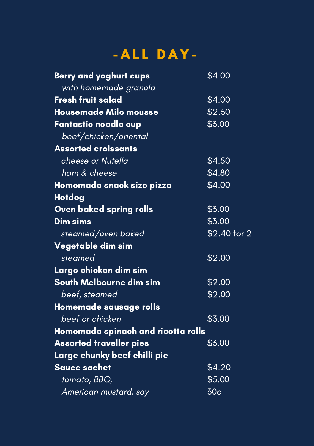# **- A L L D A Y -**

| <b>Berry and yoghurt cups</b>      | \$4.00          |
|------------------------------------|-----------------|
| with homemade granola              |                 |
| <b>Fresh fruit salad</b>           | \$4.00          |
| <b>Housemade Milo mousse</b>       | \$2.50          |
| Fantastic noodle cup               | \$3.00          |
| beef/chicken/oriental              |                 |
| <b>Assorted croissants</b>         |                 |
| cheese or Nutella                  | \$4.50          |
| ham & cheese                       | \$4.80          |
| Homemade snack size pizza          | \$4.00          |
| Hotdog                             |                 |
| Oven baked spring rolls            | \$3.00          |
| Dim sims                           | \$3.00          |
| steamed/oven baked                 | \$2.40 for 2    |
| Vegetable dim sim                  |                 |
| steamed                            | \$2.00          |
| Large chicken dim sim              |                 |
| South Melbourne dim sim            | \$2.00          |
| beef, steamed                      | \$2.00          |
| Homemade sausage rolls             |                 |
| beef or chicken                    | \$3.00          |
| Homemade spinach and ricotta rolls |                 |
| <b>Assorted traveller pies</b>     | \$3.00          |
| Large chunky beef chilli pie       |                 |
| <b>Sauce sachet</b>                | \$4.20          |
| tomato, BBO,                       | \$5.00          |
| American mustard, soy              | 30 <sub>c</sub> |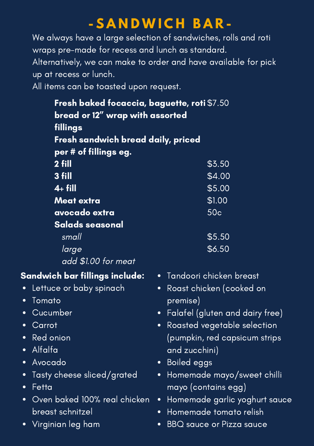### **- S A N D W I C H B A R -**

We always have a large selection of sandwiches, rolls and roti wraps pre-made for recess and lunch as standard. Alternatively, we can make to order and have available for pick up at recess or lunch.

All items can be toasted upon request.

San

 $\bullet$  $\bullet$  $\bullet$  $\bullet$ 

| Fresh baked focaccia, baguette, roti \$7.50 |                                              |  |
|---------------------------------------------|----------------------------------------------|--|
| bread or 12" wrap with assorted             |                                              |  |
| fillings                                    |                                              |  |
| Fresh sandwich bread daily, priced          |                                              |  |
| per # of fillings eg.                       |                                              |  |
| 2 fill                                      | \$3.50                                       |  |
| 3 fill                                      | \$4.00                                       |  |
| $4 + fill$                                  | \$5.00                                       |  |
| <b>Meat extra</b>                           | \$1.00                                       |  |
| avocado extra                               | 50 <sub>c</sub>                              |  |
| Salads seasonal                             |                                              |  |
| small                                       | \$5.50                                       |  |
| large                                       | \$6.50                                       |  |
| add \$1.00 for meat                         |                                              |  |
| andwich bar fillings include:               | • Tandoori chicken breast                    |  |
| Lettuce or baby spinach                     | Roast chicken (cooked on<br>$\bullet$        |  |
| Tomato                                      | premise)                                     |  |
| Cucumber                                    | Falafel (gluten and dairy free)<br>$\bullet$ |  |
| Carrot                                      | Roasted vegetable selection<br>$\bullet$     |  |
| Red onion                                   | (pumpkin, red capsicum strips                |  |
| Alfalfa                                     | and zucchini)                                |  |
| Avocado                                     | • Boiled eggs                                |  |
| Tasty cheese sliced/grated                  | Homemade mayo/sweet chilli<br>$\bullet$      |  |
| Fetta                                       | mayo (contains egg)                          |  |
| Oven baked 100% real chicken                | Homemade garlic yoghurt sauce<br>$\bullet$   |  |
| breast schnitzel                            | Homemade tomato relish<br>$\bullet$          |  |
| Virginian leg ham                           | <b>BBQ</b> sauce or Pizza sauce<br>$\bullet$ |  |
|                                             |                                              |  |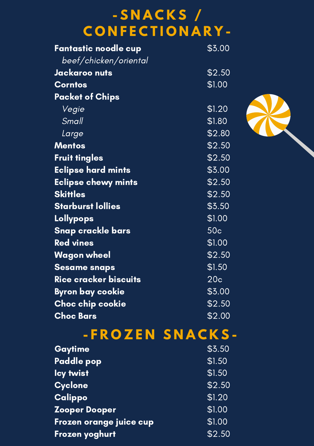## **- S N A C K S / C O N F E C T I O N A R Y -**

| Fantastic noodle cup         | \$3.00          |
|------------------------------|-----------------|
| beef/chicken/oriental        |                 |
| <u>Jackaroo nuts</u>         | \$2.50          |
| <b>Corntos</b>               | \$1.00          |
| <b>Packet of Chips</b>       |                 |
| Vegie                        | \$1.20          |
| Small                        | \$1.80          |
| Large                        | \$2.80          |
| <b>Mentos</b>                | \$2.50          |
| <b>Fruit tingles</b>         | \$2.50          |
| <b>Eclipse hard mints</b>    | \$3.00          |
| <b>Eclipse chewy mints</b>   | \$2.50          |
| <b>Skittles</b>              | \$2.50          |
| <b>Starburst lollies</b>     | \$3.50          |
| <b>Lollypops</b>             | \$1.00          |
| Snap crackle bars            | 50 <sub>c</sub> |
| <b>Red vines</b>             | \$1.00          |
| Wagon wheel                  | \$2.50          |
| <b>Sesame snaps</b>          | \$1.50          |
| <u>Rice cracker biscuits</u> | 20 <sub>c</sub> |
| Byron bay cookie             | \$3.00          |
| Choc chip cookie             | \$2.50          |
| <b>Choc Bars</b>             | \$2.00          |

# **- F R O Z E N S N A C K S -**

| Gaytime                 | \$3.50 |
|-------------------------|--------|
| <b>Paddle pop</b>       | \$1.50 |
| <b>lcy twist</b>        | \$1.50 |
| Cyclone                 | \$2.50 |
| Calippo                 | \$1.20 |
| <b>Zooper Dooper</b>    | \$1.00 |
| Frozen orange juice cup | \$1.00 |
| Frozen yoghurt          | \$2.50 |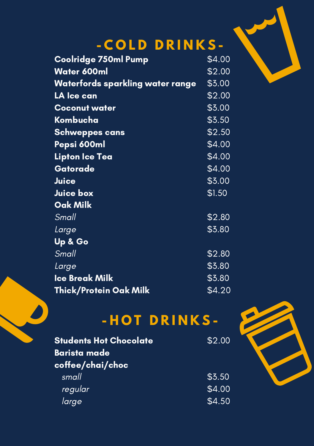

# **- C O L D D R I N K S -**

| <b>Coolridge 750ml Pump</b>             | \$4.00 |
|-----------------------------------------|--------|
| Water 600ml                             | \$2.00 |
| <u>Waterfords sparkling water range</u> | \$3.00 |
| LA Ice can                              | \$2.00 |
| <b>Coconut water</b>                    | \$3.00 |
| Kombucha                                | \$3.50 |
| Schweppes cans                          | \$2.50 |
| Pepsi 600ml                             | \$4.00 |
| Lipton Ice Tea                          | \$4.00 |
| Gatorade                                | \$4.00 |
| Juice                                   | \$3.00 |
| Juice box                               | \$1.50 |
| Oak Milk                                |        |
| <u>Small</u>                            | \$2.80 |
| Large                                   | \$3.80 |
| <u>Up &amp; Go</u>                      |        |
| Small                                   | \$2.80 |
| Large                                   | \$3.80 |
| <b>Ice Break Milk</b>                   | \$3.80 |
| Thick/Protein Oak Milk                  | \$4.20 |

# **- H O T D R I N K S -**

| <b>Students Hot Chocolate</b> | \$2.00 |
|-------------------------------|--------|
| <b>Barista made</b>           |        |
| coffee/chai/choc              |        |
| small                         | \$3.50 |
| regular                       | \$4.00 |
| large                         | \$4.50 |